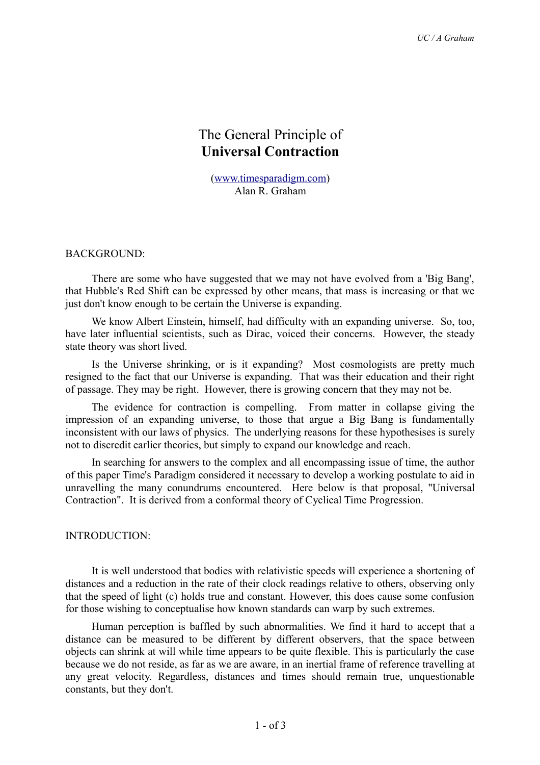# The General Principle of **Universal Contraction**

[\(www.timesparadigm.com\)](http://www.timesparadigm.com/) Alan R. Graham

### BACKGROUND:

There are some who have suggested that we may not have evolved from a 'Big Bang', that Hubble's Red Shift can be expressed by other means, that mass is increasing or that we just don't know enough to be certain the Universe is expanding.

We know Albert Einstein, himself, had difficulty with an expanding universe. So, too, have later influential scientists, such as Dirac, voiced their concerns. However, the steady state theory was short lived.

Is the Universe shrinking, or is it expanding? Most cosmologists are pretty much resigned to the fact that our Universe is expanding. That was their education and their right of passage. They may be right. However, there is growing concern that they may not be.

The evidence for contraction is compelling. From matter in collapse giving the impression of an expanding universe, to those that argue a Big Bang is fundamentally inconsistent with our laws of physics. The underlying reasons for these hypothesises is surely not to discredit earlier theories, but simply to expand our knowledge and reach.

In searching for answers to the complex and all encompassing issue of time, the author of this paper Time's Paradigm considered it necessary to develop a working postulate to aid in unravelling the many conundrums encountered. Here below is that proposal, "Universal Contraction". It is derived from a conformal theory of Cyclical Time Progression.

#### INTRODUCTION:

It is well understood that bodies with relativistic speeds will experience a shortening of distances and a reduction in the rate of their clock readings relative to others, observing only that the speed of light (c) holds true and constant. However, this does cause some confusion for those wishing to conceptualise how known standards can warp by such extremes.

Human perception is baffled by such abnormalities. We find it hard to accept that a distance can be measured to be different by different observers, that the space between objects can shrink at will while time appears to be quite flexible. This is particularly the case because we do not reside, as far as we are aware, in an inertial frame of reference travelling at any great velocity. Regardless, distances and times should remain true, unquestionable constants, but they don't.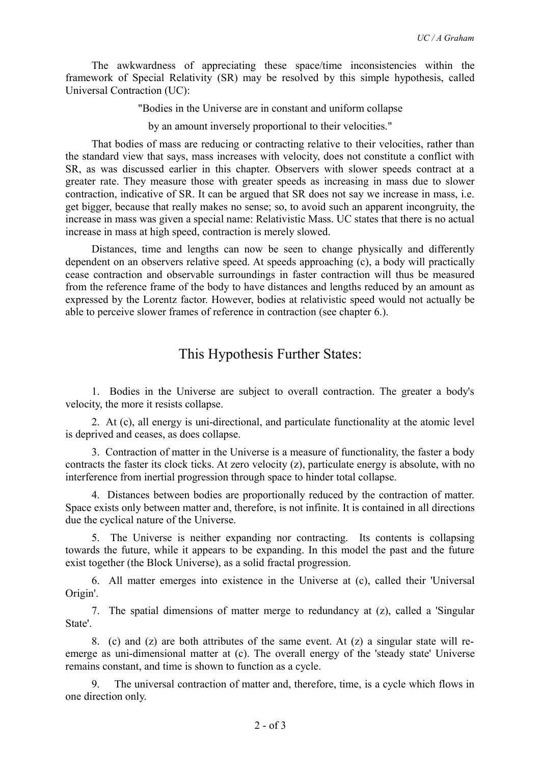The awkwardness of appreciating these space/time inconsistencies within the framework of Special Relativity (SR) may be resolved by this simple hypothesis, called Universal Contraction (UC):

"Bodies in the Universe are in constant and uniform collapse

by an amount inversely proportional to their velocities."

That bodies of mass are reducing or contracting relative to their velocities, rather than the standard view that says, mass increases with velocity, does not constitute a conflict with SR, as was discussed earlier in this chapter. Observers with slower speeds contract at a greater rate. They measure those with greater speeds as increasing in mass due to slower contraction, indicative of SR. It can be argued that SR does not say we increase in mass, i.e. get bigger, because that really makes no sense; so, to avoid such an apparent incongruity, the increase in mass was given a special name: Relativistic Mass. UC states that there is no actual increase in mass at high speed, contraction is merely slowed.

Distances, time and lengths can now be seen to change physically and differently dependent on an observers relative speed. At speeds approaching (c), a body will practically cease contraction and observable surroundings in faster contraction will thus be measured from the reference frame of the body to have distances and lengths reduced by an amount as expressed by the Lorentz factor. However, bodies at relativistic speed would not actually be able to perceive slower frames of reference in contraction (see chapter 6.).

## This Hypothesis Further States:

1. Bodies in the Universe are subject to overall contraction. The greater a body's velocity, the more it resists collapse.

2. At (c), all energy is uni-directional, and particulate functionality at the atomic level is deprived and ceases, as does collapse.

3. Contraction of matter in the Universe is a measure of functionality, the faster a body contracts the faster its clock ticks. At zero velocity (z), particulate energy is absolute, with no interference from inertial progression through space to hinder total collapse.

4. Distances between bodies are proportionally reduced by the contraction of matter. Space exists only between matter and, therefore, is not infinite. It is contained in all directions due the cyclical nature of the Universe.

5. The Universe is neither expanding nor contracting. Its contents is collapsing towards the future, while it appears to be expanding. In this model the past and the future exist together (the Block Universe), as a solid fractal progression.

6. All matter emerges into existence in the Universe at (c), called their 'Universal Origin'.

7. The spatial dimensions of matter merge to redundancy at (z), called a 'Singular State'.

8. (c) and (z) are both attributes of the same event. At (z) a singular state will reemerge as uni-dimensional matter at (c). The overall energy of the 'steady state' Universe remains constant, and time is shown to function as a cycle.

9. The universal contraction of matter and, therefore, time, is a cycle which flows in one direction only.